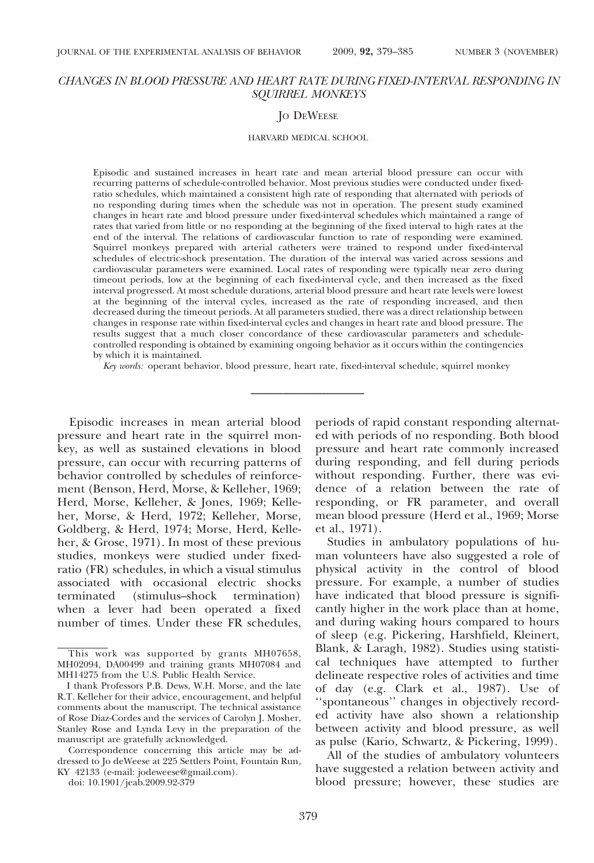# CHANGES IN BLOOD PRESSURE AND HEART RATE DURING FIXED-INTERVAL RESPONDING IN SQUIRREL MONKEYS

#### JO DEWEESE

#### HARVARD MEDICAL SCHOOL

Episodic and sustained increases in heart rate and mean arterial blood pressure can occur with recurring patterns of schedule-controlled behavior. Most previous studies were conducted under fixedratio schedules, which maintained a consistent high rate of responding that alternated with periods of no responding during times when the schedule was not in operation. The present study examined changes in heart rate and blood pressure under fixed-interval schedules which maintained a range of rates that varied from little or no responding at the beginning of the fixed interval to high rates at the end of the interval. The relations of cardiovascular function to rate of responding were examined. Squirrel monkeys prepared with arterial catheters were trained to respond under fixed-interval schedules of electric-shock presentation. The duration of the interval was varied across sessions and cardiovascular parameters were examined. Local rates of responding were typically near zero during timeout periods, low at the beginning of each fixed-interval cycle, and then increased as the fixed interval progressed. At most schedule durations, arterial blood pressure and heart rate levels were lowest at the beginning of the interval cycles, increased as the rate of responding increased, and then decreased during the timeout periods. At all parameters studied, there was a direct relationship between changes in response rate within fixed-interval cycles and changes in heart rate and blood pressure. The results suggest that a much closer concordance of these cardiovascular parameters and schedulecontrolled responding is obtained by examining ongoing behavior as it occurs within the contingencies by which it is maintained.

Key words: operant behavior, blood pressure, heart rate, fixed-interval schedule, squirrel monkey

Episodic increases in mean arterial blood pressure and heart rate in the squirrel monkey, as well as sustained elevations in blood pressure, can occur with recurring patterns of behavior controlled by schedules of reinforcement (Benson, Herd, Morse, & Kelleher, 1969; Herd, Morse, Kelleher, & Jones, 1969; Kelleher, Morse, & Herd, 1972; Kelleher, Morse, Goldberg, & Herd, 1974; Morse, Herd, Kelleher, & Grose, 1971). In most of these previous studies, monkeys were studied under fixedratio (FR) schedules, in which a visual stimulus associated with occasional electric shocks terminated (stimulus–shock termination) when a lever had been operated a fixed number of times. Under these FR schedules,

doi: 10.1901/jeab.2009.92-379

periods of rapid constant responding alternated with periods of no responding. Both blood pressure and heart rate commonly increased during responding, and fell during periods without responding. Further, there was evidence of a relation between the rate of responding, or FR parameter, and overall mean blood pressure (Herd et al., 1969; Morse et al., 1971).

Studies in ambulatory populations of human volunteers have also suggested a role of physical activity in the control of blood pressure. For example, a number of studies have indicated that blood pressure is significantly higher in the work place than at home, and during waking hours compared to hours of sleep (e.g. Pickering, Harshfield, Kleinert, Blank, & Laragh, 1982). Studies using statistical techniques have attempted to further delineate respective roles of activities and time of day (e.g. Clark et al., 1987). Use of ''spontaneous'' changes in objectively recorded activity have also shown a relationship between activity and blood pressure, as well as pulse (Kario, Schwartz, & Pickering, 1999).

All of the studies of ambulatory volunteers have suggested a relation between activity and blood pressure; however, these studies are

This work was supported by grants MH07658, MH02094, DA00499 and training grants MH07084 and MH14275 from the U.S. Public Health Service.

I thank Professors P.B. Dews, W.H. Morse, and the late R.T. Kelleher for their advice, encouragement, and helpful comments about the manuscript. The technical assistance of Rose Diaz-Cordes and the services of Carolyn J. Mosher, Stanley Rose and Lynda Levy in the preparation of the manuscript are gratefully acknowledged.

Correspondence concerning this article may be addressed to Jo deWeese at 225 Settlers Point, Fountain Run, KY 42133 (e-mail: jodeweese@gmail.com).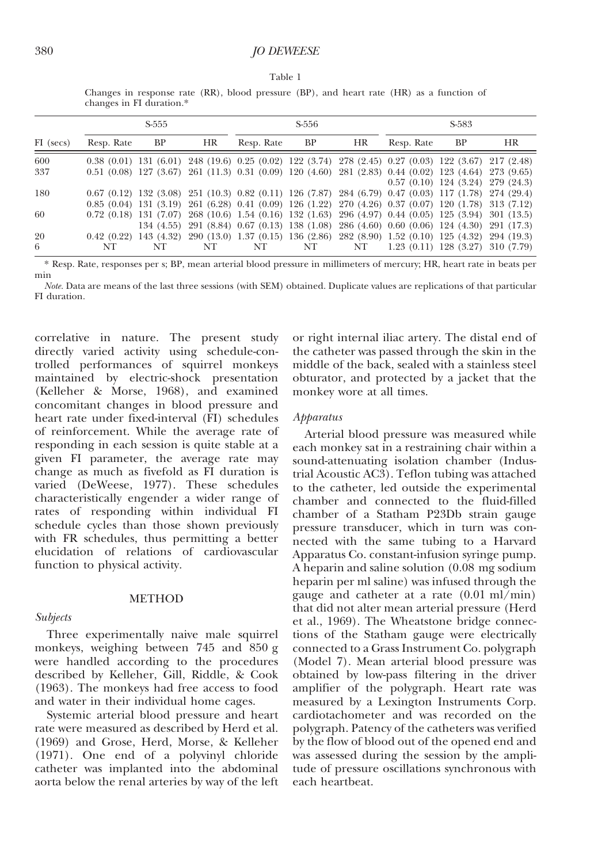Table 1

Changes in response rate (RR), blood pressure (BP), and heart rate (HR) as a function of changes in FI duration.\*

|           | S-555                   |    |     | S-556      |      |    | S-583                                                                                                   |    |            |
|-----------|-------------------------|----|-----|------------|------|----|---------------------------------------------------------------------------------------------------------|----|------------|
| FI (secs) | Resp. Rate              | BP | HR  | Resp. Rate | BP   | HR | Resp. Rate                                                                                              | BP | HR         |
| 600       |                         |    |     |            |      |    | $0.38$ (0.01) 131 (6.01) 248 (19.6) 0.25 (0.02) 122 (3.74) 278 (2.45) 0.27 (0.03) 122 (3.67) 217 (2.48) |    |            |
| 337       |                         |    |     |            |      |    | $0.51$ (0.08) 127 (3.67) 261 (11.3) 0.31 (0.09) 120 (4.60) 281 (2.83) 0.44 (0.02) 123 (4.64) 273 (9.65) |    |            |
|           |                         |    |     |            |      |    | $0.57(0.10)$ 124 (3.24) 279 (24.3)                                                                      |    |            |
| 180       |                         |    |     |            |      |    | $0.67(0.12)$ 132 (3.08) 251 (10.3) 0.82 (0.11) 126 (7.87) 284 (6.79) 0.47 (0.03) 117 (1.78) 274 (29.4)  |    |            |
|           |                         |    |     |            |      |    | $0.85$ (0.04) 131 (3.19) 261 (6.28) 0.41 (0.09) 126 (1.22) 270 (4.26) 0.37 (0.07) 120 (1.78) 313 (7.12) |    |            |
| 60        |                         |    |     |            |      |    | $0.72$ (0.18) 131 (7.07) 268 (10.6) 1.54 (0.16) 132 (1.63) 296 (4.97) 0.44 (0.05) 125 (3.94) 301 (13.5) |    |            |
|           |                         |    |     |            |      |    | 134 (4.55) 291 (8.84) 0.67 (0.13) 138 (1.08) 286 (4.60) 0.60 (0.06) 124 (4.30) 291 (17.3)               |    |            |
| 20        | $0.42(0.22)$ 143 (4.32) |    |     |            |      |    | 290 (13.0) 1.37 (0.15) 136 (2.86) 282 (8.90) 1.52 (0.10) 125 (4.32) 294 (19.3)                          |    |            |
| 6         | NT                      | NT | NT. | NT         | NT - | NT | $1.23(0.11)$ 128 $(3.27)$                                                                               |    | 310 (7.79) |

\* Resp. Rate, responses per s; BP, mean arterial blood pressure in millimeters of mercury; HR, heart rate in beats per min

Note. Data are means of the last three sessions (with SEM) obtained. Duplicate values are replications of that particular FI duration.

correlative in nature. The present study directly varied activity using schedule-controlled performances of squirrel monkeys maintained by electric-shock presentation (Kelleher & Morse, 1968), and examined concomitant changes in blood pressure and heart rate under fixed-interval (FI) schedules of reinforcement. While the average rate of responding in each session is quite stable at a given FI parameter, the average rate may change as much as fivefold as FI duration is varied (DeWeese, 1977). These schedules characteristically engender a wider range of rates of responding within individual FI schedule cycles than those shown previously with FR schedules, thus permitting a better elucidation of relations of cardiovascular function to physical activity.

### METHOD

#### Subjects

Three experimentally naive male squirrel monkeys, weighing between 745 and 850 g were handled according to the procedures described by Kelleher, Gill, Riddle, & Cook (1963). The monkeys had free access to food and water in their individual home cages.

Systemic arterial blood pressure and heart rate were measured as described by Herd et al. (1969) and Grose, Herd, Morse, & Kelleher (1971). One end of a polyvinyl chloride catheter was implanted into the abdominal aorta below the renal arteries by way of the left

or right internal iliac artery. The distal end of the catheter was passed through the skin in the middle of the back, sealed with a stainless steel obturator, and protected by a jacket that the monkey wore at all times.

#### Apparatus

Arterial blood pressure was measured while each monkey sat in a restraining chair within a sound-attenuating isolation chamber (Industrial Acoustic AC3). Teflon tubing was attached to the catheter, led outside the experimental chamber and connected to the fluid-filled chamber of a Statham P23Db strain gauge pressure transducer, which in turn was connected with the same tubing to a Harvard Apparatus Co. constant-infusion syringe pump. A heparin and saline solution (0.08 mg sodium heparin per ml saline) was infused through the gauge and catheter at a rate (0.01 ml/min) that did not alter mean arterial pressure (Herd et al., 1969). The Wheatstone bridge connections of the Statham gauge were electrically connected to a Grass Instrument Co. polygraph (Model 7). Mean arterial blood pressure was obtained by low-pass filtering in the driver amplifier of the polygraph. Heart rate was measured by a Lexington Instruments Corp. cardiotachometer and was recorded on the polygraph. Patency of the catheters was verified by the flow of blood out of the opened end and was assessed during the session by the amplitude of pressure oscillations synchronous with each heartbeat.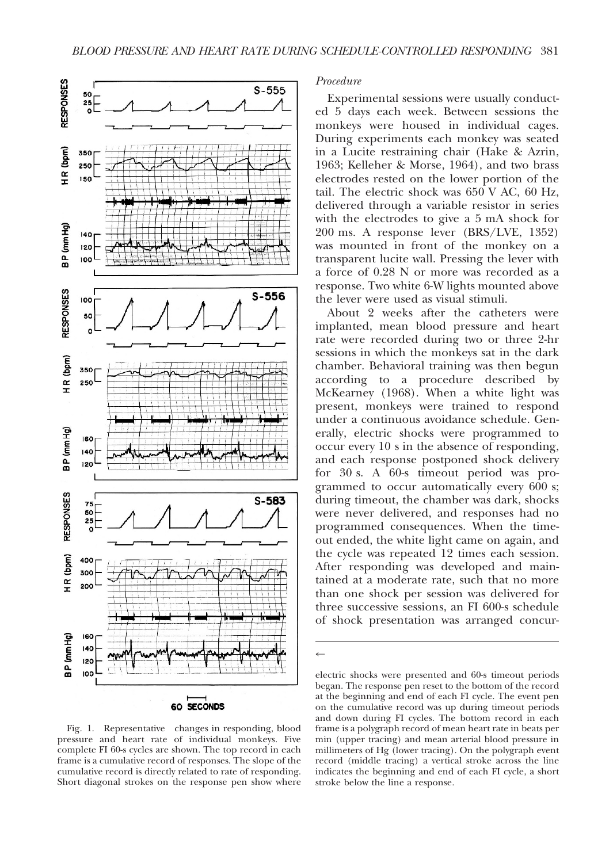$\leftarrow$ 



Fig. 1. Representative changes in responding, blood pressure and heart rate of individual monkeys. Five complete FI 60-s cycles are shown. The top record in each frame is a cumulative record of responses. The slope of the cumulative record is directly related to rate of responding. Short diagonal strokes on the response pen show where

## Procedure

Experimental sessions were usually conducted 5 days each week. Between sessions the monkeys were housed in individual cages. During experiments each monkey was seated in a Lucite restraining chair (Hake & Azrin, 1963; Kelleher & Morse, 1964), and two brass electrodes rested on the lower portion of the tail. The electric shock was 650 V AC, 60 Hz, delivered through a variable resistor in series with the electrodes to give a 5 mA shock for 200 ms. A response lever (BRS/LVE, 1352) was mounted in front of the monkey on a transparent lucite wall. Pressing the lever with a force of 0.28 N or more was recorded as a response. Two white 6-W lights mounted above the lever were used as visual stimuli.

About 2 weeks after the catheters were implanted, mean blood pressure and heart rate were recorded during two or three 2-hr sessions in which the monkeys sat in the dark chamber. Behavioral training was then begun according to a procedure described by McKearney (1968). When a white light was present, monkeys were trained to respond under a continuous avoidance schedule. Generally, electric shocks were programmed to occur every 10 s in the absence of responding, and each response postponed shock delivery for 30 s. A 60-s timeout period was programmed to occur automatically every 600 s; during timeout, the chamber was dark, shocks were never delivered, and responses had no programmed consequences. When the timeout ended, the white light came on again, and the cycle was repeated 12 times each session. After responding was developed and maintained at a moderate rate, such that no more than one shock per session was delivered for three successive sessions, an FI 600-s schedule of shock presentation was arranged concur-

electric shocks were presented and 60-s timeout periods began. The response pen reset to the bottom of the record at the beginning and end of each FI cycle. The event pen on the cumulative record was up during timeout periods and down during FI cycles. The bottom record in each frame is a polygraph record of mean heart rate in beats per min (upper tracing) and mean arterial blood pressure in millimeters of Hg (lower tracing). On the polygraph event record (middle tracing) a vertical stroke across the line indicates the beginning and end of each FI cycle, a short stroke below the line a response.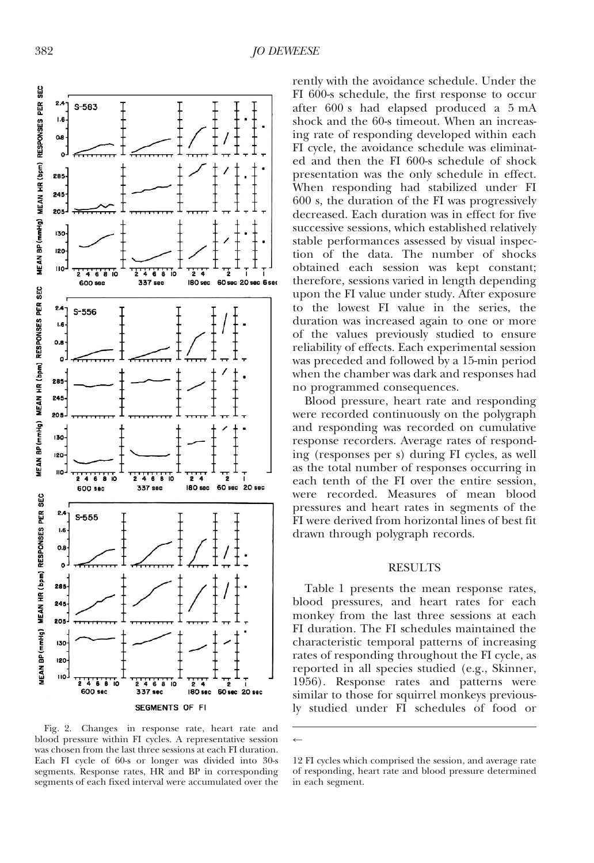

Fig. 2. Changes in response rate, heart rate and blood pressure within FI cycles. A representative session was chosen from the last three sessions at each FI duration. Each FI cycle of 60-s or longer was divided into 30-s segments. Response rates, HR and BP in corresponding segments of each fixed interval were accumulated over the

rently with the avoidance schedule. Under the FI 600-s schedule, the first response to occur after 600 s had elapsed produced a 5 mA shock and the 60-s timeout. When an increasing rate of responding developed within each FI cycle, the avoidance schedule was eliminated and then the FI 600-s schedule of shock presentation was the only schedule in effect. When responding had stabilized under FI 600 s, the duration of the FI was progressively decreased. Each duration was in effect for five successive sessions, which established relatively stable performances assessed by visual inspection of the data. The number of shocks obtained each session was kept constant; therefore, sessions varied in length depending upon the FI value under study. After exposure to the lowest FI value in the series, the duration was increased again to one or more of the values previously studied to ensure reliability of effects. Each experimental session was preceded and followed by a 15-min period when the chamber was dark and responses had no programmed consequences.

Blood pressure, heart rate and responding were recorded continuously on the polygraph and responding was recorded on cumulative response recorders. Average rates of responding (responses per s) during FI cycles, as well as the total number of responses occurring in each tenth of the FI over the entire session, were recorded. Measures of mean blood pressures and heart rates in segments of the FI were derived from horizontal lines of best fit drawn through polygraph records.

### RESULTS

Table 1 presents the mean response rates, blood pressures, and heart rates for each monkey from the last three sessions at each FI duration. The FI schedules maintained the characteristic temporal patterns of increasing rates of responding throughout the FI cycle, as reported in all species studied (e.g., Skinner, 1956). Response rates and patterns were similar to those for squirrel monkeys previously studied under FI schedules of food or

 $\leftarrow$ 

<sup>12</sup> FI cycles which comprised the session, and average rate of responding, heart rate and blood pressure determined in each segment.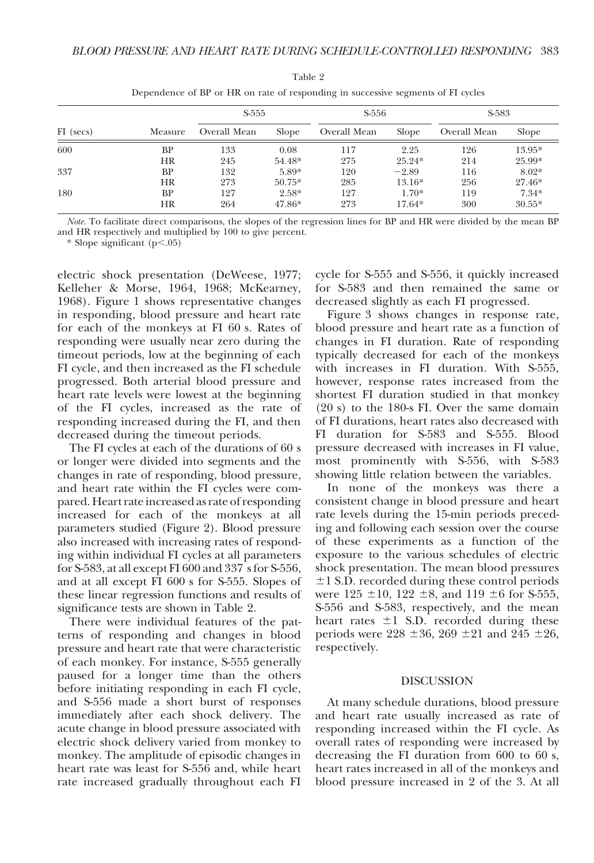|                                          |           | S-555        |          | S-556        |              | S-583        |              |
|------------------------------------------|-----------|--------------|----------|--------------|--------------|--------------|--------------|
| FI (secs)                                | Measure   | Overall Mean | Slope    | Overall Mean | <b>Slope</b> | Overall Mean | <b>Slope</b> |
| <b>Contract Contract Contract</b><br>600 | <b>BP</b> | 133          | 0.08     | 117          | 2.25         | 126          | 13.95*       |
|                                          | HR        | 245          | 54.48*   | 275          | $25.24*$     | 214          | 25.99*       |
| 337                                      | <b>BP</b> | 132          | $5.89*$  | 120          | $-2.89$      | 116          | $8.02*$      |
|                                          | HR        | 273          | $50.75*$ | 285          | $13.16*$     | 256          | $27.46*$     |
| 180                                      | BP        | 127          | $2.58*$  | 127          | $1.70*$      | 119          | $7.34*$      |
|                                          | HR        | 264          | 47.86*   | 273          | $17.64*$     | 300          | $30.55*$     |

Table 2 Dependence of BP or HR on rate of responding in successive segments of FI cycles

Note. To facilitate direct comparisons, the slopes of the regression lines for BP and HR were divided by the mean BP and HR respectively and multiplied by 100 to give percent.

\* Slope significant  $(p<.05)$ 

electric shock presentation (DeWeese, 1977; Kelleher & Morse, 1964, 1968; McKearney, 1968). Figure 1 shows representative changes in responding, blood pressure and heart rate for each of the monkeys at FI 60 s. Rates of responding were usually near zero during the timeout periods, low at the beginning of each FI cycle, and then increased as the FI schedule progressed. Both arterial blood pressure and heart rate levels were lowest at the beginning of the FI cycles, increased as the rate of responding increased during the FI, and then decreased during the timeout periods.

The FI cycles at each of the durations of 60 s or longer were divided into segments and the changes in rate of responding, blood pressure, and heart rate within the FI cycles were compared. Heart rate increased as rate of responding increased for each of the monkeys at all parameters studied (Figure 2). Blood pressure also increased with increasing rates of responding within individual FI cycles at all parameters for S-583, at all except FI 600 and 337 s for S-556, and at all except FI 600 s for S-555. Slopes of these linear regression functions and results of significance tests are shown in Table 2.

There were individual features of the patterns of responding and changes in blood pressure and heart rate that were characteristic of each monkey. For instance, S-555 generally paused for a longer time than the others before initiating responding in each FI cycle, and S-556 made a short burst of responses immediately after each shock delivery. The acute change in blood pressure associated with electric shock delivery varied from monkey to monkey. The amplitude of episodic changes in heart rate was least for S-556 and, while heart rate increased gradually throughout each FI

cycle for S-555 and S-556, it quickly increased for S-583 and then remained the same or decreased slightly as each FI progressed.

Figure 3 shows changes in response rate, blood pressure and heart rate as a function of changes in FI duration. Rate of responding typically decreased for each of the monkeys with increases in FI duration. With S-555, however, response rates increased from the shortest FI duration studied in that monkey (20 s) to the 180-s FI. Over the same domain of FI durations, heart rates also decreased with FI duration for S-583 and S-555. Blood pressure decreased with increases in FI value, most prominently with S-556, with S-583 showing little relation between the variables.

In none of the monkeys was there a consistent change in blood pressure and heart rate levels during the 15-min periods preceding and following each session over the course of these experiments as a function of the exposure to the various schedules of electric shock presentation. The mean blood pressures  $\pm$ 1 S.D. recorded during these control periods were  $125 \pm 10$ ,  $122 \pm 8$ , and  $119 \pm 6$  for S-555, S-556 and S-583, respectively, and the mean heart rates  $\pm 1$  S.D. recorded during these periods were  $228 \pm 36$ ,  $269 \pm 21$  and  $245 \pm 26$ , respectively.

#### DISCUSSION

At many schedule durations, blood pressure and heart rate usually increased as rate of responding increased within the FI cycle. As overall rates of responding were increased by decreasing the FI duration from 600 to 60 s, heart rates increased in all of the monkeys and blood pressure increased in 2 of the 3. At all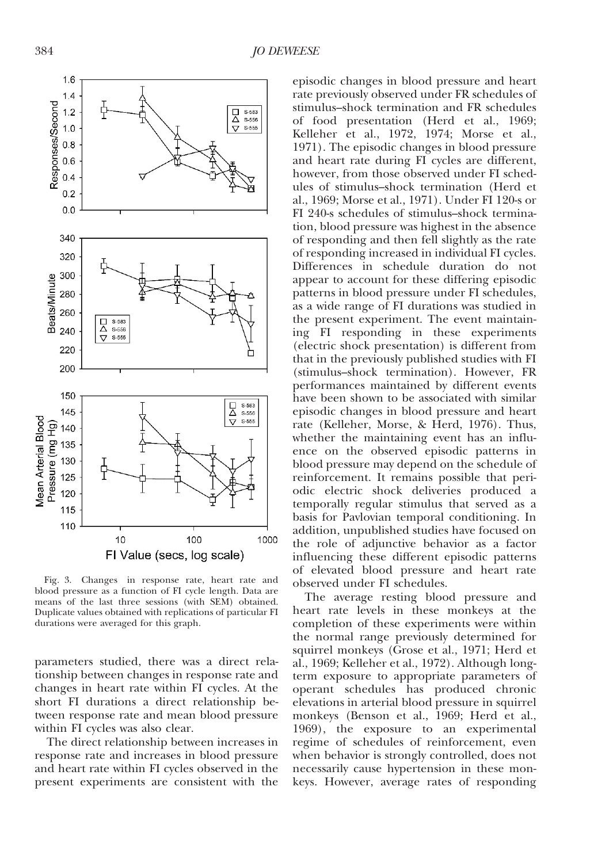

Fig. 3. Changes in response rate, heart rate and blood pressure as a function of FI cycle length. Data are means of the last three sessions (with SEM) obtained. Duplicate values obtained with replications of particular FI durations were averaged for this graph.

parameters studied, there was a direct relationship between changes in response rate and changes in heart rate within FI cycles. At the short FI durations a direct relationship between response rate and mean blood pressure within FI cycles was also clear.

The direct relationship between increases in response rate and increases in blood pressure and heart rate within FI cycles observed in the present experiments are consistent with the

episodic changes in blood pressure and heart rate previously observed under FR schedules of stimulus–shock termination and FR schedules of food presentation (Herd et al., 1969; Kelleher et al., 1972, 1974; Morse et al., 1971). The episodic changes in blood pressure and heart rate during FI cycles are different, however, from those observed under FI schedules of stimulus–shock termination (Herd et al., 1969; Morse et al., 1971). Under FI 120-s or FI 240-s schedules of stimulus–shock termination, blood pressure was highest in the absence of responding and then fell slightly as the rate of responding increased in individual FI cycles. Differences in schedule duration do not appear to account for these differing episodic patterns in blood pressure under FI schedules, as a wide range of FI durations was studied in the present experiment. The event maintaining FI responding in these experiments (electric shock presentation) is different from that in the previously published studies with FI (stimulus–shock termination). However, FR performances maintained by different events have been shown to be associated with similar episodic changes in blood pressure and heart rate (Kelleher, Morse, & Herd, 1976). Thus, whether the maintaining event has an influence on the observed episodic patterns in blood pressure may depend on the schedule of reinforcement. It remains possible that periodic electric shock deliveries produced a temporally regular stimulus that served as a basis for Pavlovian temporal conditioning. In addition, unpublished studies have focused on the role of adjunctive behavior as a factor influencing these different episodic patterns of elevated blood pressure and heart rate observed under FI schedules.

The average resting blood pressure and heart rate levels in these monkeys at the completion of these experiments were within the normal range previously determined for squirrel monkeys (Grose et al., 1971; Herd et al., 1969; Kelleher et al., 1972). Although longterm exposure to appropriate parameters of operant schedules has produced chronic elevations in arterial blood pressure in squirrel monkeys (Benson et al., 1969; Herd et al., 1969), the exposure to an experimental regime of schedules of reinforcement, even when behavior is strongly controlled, does not necessarily cause hypertension in these monkeys. However, average rates of responding